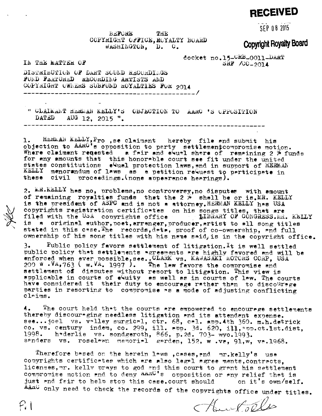## **RECEIVED**

SFP 08 2015

**EEFORE THE** COPYRIGHT OFFICE, ROYALTY BOARD WASHINGTON, D. C.

## **Copyright Royalty Board**

docket no.15-CRB-0011-DART  $S\overline{R}$  /00-2014

IN THE MATTER OF

 $P_i$  (

DISTRIBUTION OF DART SOUND RECORDINGS FUND FEATURED RECORDING ARTISTS AND COPYRIGHT OWNERS SUBFUND ROYALTIES FOR 2014

" CLAIMANT HEMMAN KELLY'S OBJECTION TO AARC 'S OPPOSITION DATED AUG 12, 2015 ".

1. HERMAN KELLY, Pro , se claimant hereby file and submit his objection to AARG's opposition to party settlementcompromise motion.<br>Where claimant reqested a fair and evual share of remaining 2 % funds for any amounts that this honorable court see fit under the united states constitutions eQual protection laws, and in support of HERMAN KELLY menorandum of laws as a petition request to participate in these civil proceedings. (none appearance hearings).

2. MR. KELLY has no, problems, no controversy, no disputes with amount of remaining royalties funds that the 2 % shall be or is.MR. KELLY<br>is the president of ASPC and is not a attorney.HERMAN KELLY has USA copyrights registration certificates on his songs titles, that are filed with the USA copyrights office IIBRARY OF CONGRESS. MR. KEILY is s original author, poet, arranger, producer, artist to all song titles stated in this case. The records, data, proof of co-ownership, and full ownership of his song titles with his name said, is in the copyright office.

Public policy favors settlement of litigation. It is well settled  $3.1$ public policy that settlements agreements are highly favored and will be<br>enforced when ever possible.see..CLARK vs. KAWASAKI MOTORS CORP, USA<br>200 W.VA,763 (w.VA. 1997). The law favors the compromise and settlement of disputes without resort to litigation. This view is<br>applicable in courts of eQuity as well as in courts of law. The courts have considered it their duty to encourage rather than to discourage parties in resorting to compromise as a mode of adjusting conflicting claims.

The court held that the courts are empowered to encourage settlements 4. thereby discour-ging needless litigation and its attendant expense. see...joel vs. valley surgical, ctr. 68, cal. app.4th 360. m.h.detrick co. vs. century indem, co. 299, ill. spp. 3d. 620, ill, spp. ct. 1st. dist, 1998. h\*derlie vs. sondgeroth, 866, p.2d. 703- wyo.1993. sanders vs. roselawn memorial garden, 152, w.va, 91, w, va.1968.

Therefore based on the herein laws , cases, and mr.kelly's use copyrights certificates which are also legal agree ments, contracts. licenses, mr. kelly prays to god and this court to grant his settlement compromise motion and to deny AAAC's opposition or any relief that is just and fair to help stop this case.court should on it's own/self. AAnC only need to check the records of the copyrights office under titles.

Houstolles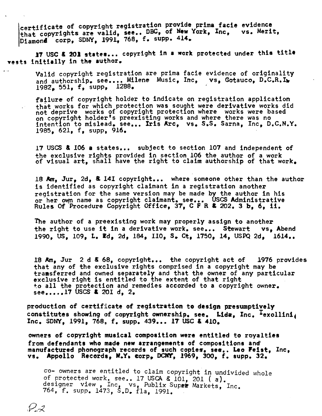certificate of copyright registration provide prima facie evidence<br>that copyrights are valid, see,. DBC, of New York, Inc. vs. Merit. that copyrights are valid, see.. DBC, of New York, Inc. Diamond corp, SDNY, 1991, 768, f. supp. 414.

<sup>17</sup> USC & <sup>201</sup> states... copyright in <sup>a</sup> work protected under this title vests initially in the author,

Valid copyright registration are prima facie evidence of originality and authorship, see.... Milene Music, Inc, vs, Gotauco, D.C.R.I. 1982, 551, f, supp, 1288,

failure of copyright holder to indicate on registration application that works for which protection was sought were derivative works did not deprive works of copyright protection where works were based on copyright holder's preexisting works and where there was no intention to mislead, see... Iris Arc, vs. S.S. Sarna, Inc, D.C.N.Y. 1985, 621, f, supp, 916.

17 USCS & 106 a states... subject to section 107 and independent of the exclusive rights provided in section 106 the author of <sup>a</sup> work the exclusive rights provided in section 100 the author or a work.<br>of visual art, shall have the right to claim authorship of that work.

<sup>18</sup> Am, Jur, 2d, a 141 copyright.., where someone other than the author is identified as copyright claimant in <sup>a</sup> registration another registration for the same version may be made by the author in his or her own name as copyright claimant, see... USCS Administrative or her own name as copyright claimant, see... USCS Administrativ<br>Rules Of Procedure Copyright Office, 37, C F R & 202. 3 b, 6, ii.

The author of <sup>a</sup> preexisting work may properly assign to another the right to use it in <sup>a</sup> derivative work, see... Stewart vs, Abend 1990, US, 109, L. Wd, 2d, 184, 110, S. Ct, 1750, 14, USPQ 2d, 1614..

18 Am, Jur <sup>2</sup> <sup>d</sup> & 68, copyright.., the copyright act of 1976 provides that any of the exclusive rights comprised in <sup>a</sup> copyright may be tramsferred and owned separately and that the owner of any particular exclusive right is entitled to the extent of that right +o all the protection and remedies accorded to <sup>a</sup> copyright owner. see.....17 USCS & 201 d, 2.

production of certificate of registration to design presumptively constitutes showing of copyright ownership, see. Lida, Inc. 'exollini Inc. SDNY, 1991, 768, f. supp. 439... <sup>17</sup> USC & 410.

owners of copyright musical composition were entitled to royalties from defendants who made new arrangements of compositions and manufactured phonograph records of such copies, see.. Leo Feist, mc, vs. Appollo Records, N.Y. Corp, DCNT, 1969, 300, f. supp. 32.

co- owners are entitled to claim copyright in undivided whole<br>of protected work, see.. 17 USCA & 101, 201 (a).<br>designer view , Inc, vs, Publix Super Markets, Inc.<br>764, f. supp. 1473, S.D. fla, 1991.

 $P\mathcal{Z}$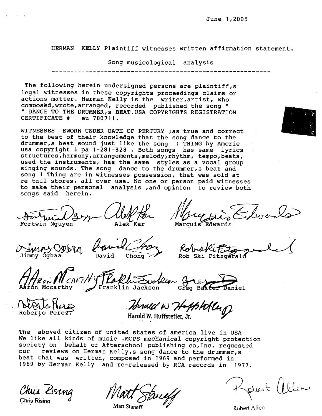HERMAN KELLY Plaintiff witnesses written affirmation statement.

Song musicological analysis

-----------------

The following herein undersigned persons are plaintiff,s legal witnesses in these copyrights proceedings claims or actions matter. Herman Kelly is the writer, artist, who composëd,wrote,arranged, recorded published the song " " DANCE TO THE DRUMMER,s BEAT.USA COPYRIGHTS REGISTRATION<br>CERTIFICATE # eu 780711. CERTIFICATE #

WITNESSES SWORN UNDER OATH OF PERJURY ;as true and correct to the best of their knowledge that the song dance to the drummer, s beat sound just like the song 1 THING by Amerie usa copyright # pa 1-281-828 . Both songs has same lyrics structures, harmony, arrangements, melody) rhythm, tempo, beats, used the instruments, has the same styles as a vocal group singing sounds. The song dance to the drummer,s beat and song <sup>1</sup> Thing are in witnesses possession, that was sold at re tail stores, all over usa. No one or person paid witnesses to make their personal analysis ,and opinion to review both songs said herein.

Satuil Darry Alek Har Mary sin Elward

Vinus Ogbly Ravid Groz Robski Fitzgerald

HARAN CARTH's TRaklin Sucker  $44.17$ eg Baxter Daniel

blanc ture

Roberto Perez.

Herald W Hoffstolly

The aboved citizen of united states of america live in USA We like all kinds of music .MCPS mechanical copyright protection society on behalf of Afterschool publishing co,Inc. requested our reviews on Herman Kelly,s song dance to the drummer,s beat that was written, composed in <sup>1969</sup> and performed in <sup>1969</sup> by Herman Kelly and re-released by RCA records in 1977.

Chris Kising

Strieff

Kossert Willen

Matt Staneff  $\mathscr{U}$  Robert Allen